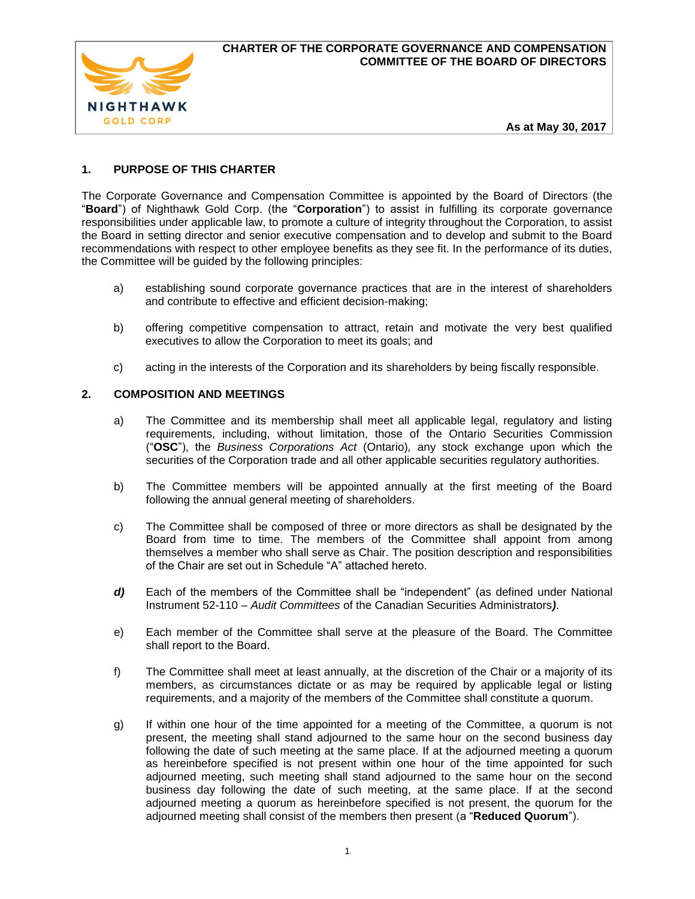

**As at May 30, 2017**

# **1. PURPOSE OF THIS CHARTER**

The Corporate Governance and Compensation Committee is appointed by the Board of Directors (the "**Board**") of Nighthawk Gold Corp. (the "**Corporation**") to assist in fulfilling its corporate governance responsibilities under applicable law, to promote a culture of integrity throughout the Corporation, to assist the Board in setting director and senior executive compensation and to develop and submit to the Board recommendations with respect to other employee benefits as they see fit. In the performance of its duties, the Committee will be guided by the following principles:

- a) establishing sound corporate governance practices that are in the interest of shareholders and contribute to effective and efficient decision-making;
- b) offering competitive compensation to attract, retain and motivate the very best qualified executives to allow the Corporation to meet its goals; and
- c) acting in the interests of the Corporation and its shareholders by being fiscally responsible.

## **2. COMPOSITION AND MEETINGS**

- a) The Committee and its membership shall meet all applicable legal, regulatory and listing requirements, including, without limitation, those of the Ontario Securities Commission ("**OSC**"), the *Business Corporations Act* (Ontario)*,* any stock exchange upon which the securities of the Corporation trade and all other applicable securities regulatory authorities.
- b) The Committee members will be appointed annually at the first meeting of the Board following the annual general meeting of shareholders.
- c) The Committee shall be composed of three or more directors as shall be designated by the Board from time to time. The members of the Committee shall appoint from among themselves a member who shall serve as Chair. The position description and responsibilities of the Chair are set out in Schedule "A" attached hereto.
- *d)* Each of the members of the Committee shall be "independent" (as defined under National Instrument 52-110 – *Audit Committees* of the Canadian Securities Administrators*)*.
- e) Each member of the Committee shall serve at the pleasure of the Board. The Committee shall report to the Board.
- f) The Committee shall meet at least annually, at the discretion of the Chair or a majority of its members, as circumstances dictate or as may be required by applicable legal or listing requirements, and a majority of the members of the Committee shall constitute a quorum.
- g) If within one hour of the time appointed for a meeting of the Committee, a quorum is not present, the meeting shall stand adjourned to the same hour on the second business day following the date of such meeting at the same place. If at the adjourned meeting a quorum as hereinbefore specified is not present within one hour of the time appointed for such adjourned meeting, such meeting shall stand adjourned to the same hour on the second business day following the date of such meeting, at the same place. If at the second adjourned meeting a quorum as hereinbefore specified is not present, the quorum for the adjourned meeting shall consist of the members then present (a "**Reduced Quorum**").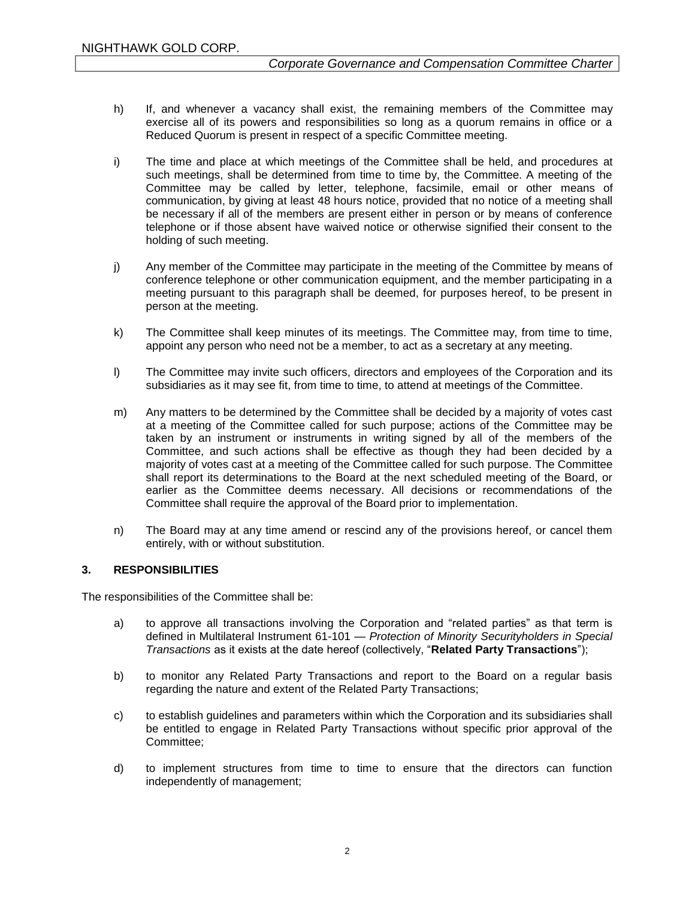- h) If, and whenever a vacancy shall exist, the remaining members of the Committee may exercise all of its powers and responsibilities so long as a quorum remains in office or a Reduced Quorum is present in respect of a specific Committee meeting.
- i) The time and place at which meetings of the Committee shall be held, and procedures at such meetings, shall be determined from time to time by, the Committee. A meeting of the Committee may be called by letter, telephone, facsimile, email or other means of communication, by giving at least 48 hours notice, provided that no notice of a meeting shall be necessary if all of the members are present either in person or by means of conference telephone or if those absent have waived notice or otherwise signified their consent to the holding of such meeting.
- j) Any member of the Committee may participate in the meeting of the Committee by means of conference telephone or other communication equipment, and the member participating in a meeting pursuant to this paragraph shall be deemed, for purposes hereof, to be present in person at the meeting.
- k) The Committee shall keep minutes of its meetings. The Committee may, from time to time, appoint any person who need not be a member, to act as a secretary at any meeting.
- l) The Committee may invite such officers, directors and employees of the Corporation and its subsidiaries as it may see fit, from time to time, to attend at meetings of the Committee.
- m) Any matters to be determined by the Committee shall be decided by a majority of votes cast at a meeting of the Committee called for such purpose; actions of the Committee may be taken by an instrument or instruments in writing signed by all of the members of the Committee, and such actions shall be effective as though they had been decided by a majority of votes cast at a meeting of the Committee called for such purpose. The Committee shall report its determinations to the Board at the next scheduled meeting of the Board, or earlier as the Committee deems necessary. All decisions or recommendations of the Committee shall require the approval of the Board prior to implementation.
- n) The Board may at any time amend or rescind any of the provisions hereof, or cancel them entirely, with or without substitution.

## **3. RESPONSIBILITIES**

The responsibilities of the Committee shall be:

- a) to approve all transactions involving the Corporation and "related parties" as that term is defined in Multilateral Instrument 61-101 *— Protection of Minority Securityholders in Special Transactions* as it exists at the date hereof (collectively, "**Related Party Transactions**");
- b) to monitor any Related Party Transactions and report to the Board on a regular basis regarding the nature and extent of the Related Party Transactions;
- c) to establish guidelines and parameters within which the Corporation and its subsidiaries shall be entitled to engage in Related Party Transactions without specific prior approval of the Committee;
- d) to implement structures from time to time to ensure that the directors can function independently of management;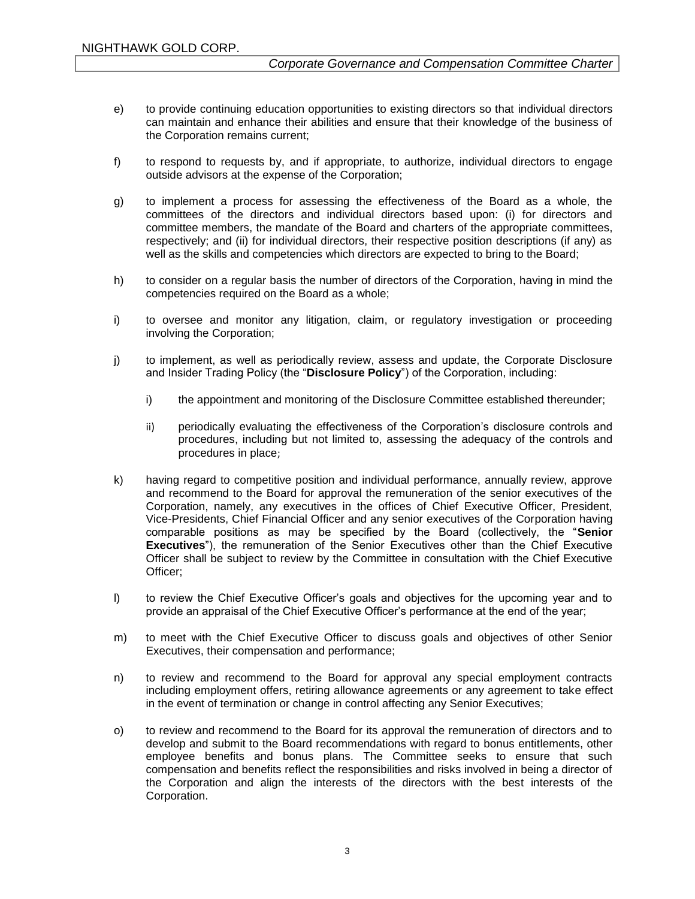- e) to provide continuing education opportunities to existing directors so that individual directors can maintain and enhance their abilities and ensure that their knowledge of the business of the Corporation remains current;
- f) to respond to requests by, and if appropriate, to authorize, individual directors to engage outside advisors at the expense of the Corporation;
- g) to implement a process for assessing the effectiveness of the Board as a whole, the committees of the directors and individual directors based upon: (i) for directors and committee members, the mandate of the Board and charters of the appropriate committees, respectively; and (ii) for individual directors, their respective position descriptions (if any) as well as the skills and competencies which directors are expected to bring to the Board;
- h) to consider on a regular basis the number of directors of the Corporation, having in mind the competencies required on the Board as a whole;
- i) to oversee and monitor any litigation, claim, or regulatory investigation or proceeding involving the Corporation;
- j) to implement, as well as periodically review, assess and update, the Corporate Disclosure and Insider Trading Policy (the "**Disclosure Policy**") of the Corporation, including:
	- i) the appointment and monitoring of the Disclosure Committee established thereunder;
	- ii) periodically evaluating the effectiveness of the Corporation's disclosure controls and procedures, including but not limited to, assessing the adequacy of the controls and procedures in place;
- k) having regard to competitive position and individual performance, annually review, approve and recommend to the Board for approval the remuneration of the senior executives of the Corporation, namely, any executives in the offices of Chief Executive Officer, President, Vice-Presidents, Chief Financial Officer and any senior executives of the Corporation having comparable positions as may be specified by the Board (collectively, the "**Senior Executives**"), the remuneration of the Senior Executives other than the Chief Executive Officer shall be subject to review by the Committee in consultation with the Chief Executive Officer;
- l) to review the Chief Executive Officer's goals and objectives for the upcoming year and to provide an appraisal of the Chief Executive Officer's performance at the end of the year;
- m) to meet with the Chief Executive Officer to discuss goals and objectives of other Senior Executives, their compensation and performance;
- n) to review and recommend to the Board for approval any special employment contracts including employment offers, retiring allowance agreements or any agreement to take effect in the event of termination or change in control affecting any Senior Executives;
- o) to review and recommend to the Board for its approval the remuneration of directors and to develop and submit to the Board recommendations with regard to bonus entitlements, other employee benefits and bonus plans. The Committee seeks to ensure that such compensation and benefits reflect the responsibilities and risks involved in being a director of the Corporation and align the interests of the directors with the best interests of the Corporation.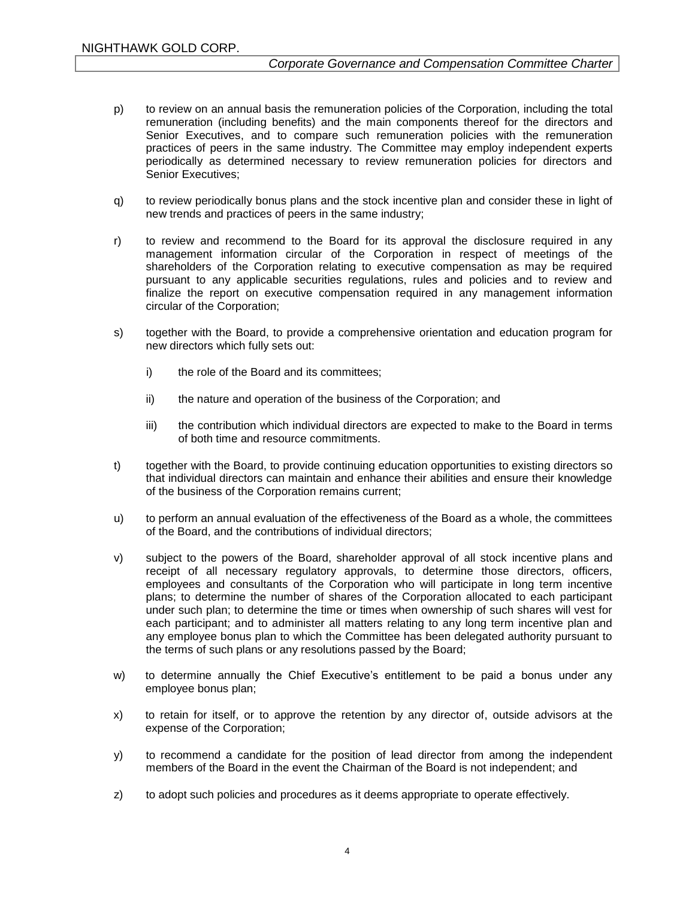- p) to review on an annual basis the remuneration policies of the Corporation, including the total remuneration (including benefits) and the main components thereof for the directors and Senior Executives, and to compare such remuneration policies with the remuneration practices of peers in the same industry. The Committee may employ independent experts periodically as determined necessary to review remuneration policies for directors and Senior Executives;
- q) to review periodically bonus plans and the stock incentive plan and consider these in light of new trends and practices of peers in the same industry;
- r) to review and recommend to the Board for its approval the disclosure required in any management information circular of the Corporation in respect of meetings of the shareholders of the Corporation relating to executive compensation as may be required pursuant to any applicable securities regulations, rules and policies and to review and finalize the report on executive compensation required in any management information circular of the Corporation;
- s) together with the Board, to provide a comprehensive orientation and education program for new directors which fully sets out:
	- i) the role of the Board and its committees:
	- ii) the nature and operation of the business of the Corporation; and
	- iii) the contribution which individual directors are expected to make to the Board in terms of both time and resource commitments.
- t) together with the Board, to provide continuing education opportunities to existing directors so that individual directors can maintain and enhance their abilities and ensure their knowledge of the business of the Corporation remains current;
- u) to perform an annual evaluation of the effectiveness of the Board as a whole, the committees of the Board, and the contributions of individual directors;
- v) subject to the powers of the Board, shareholder approval of all stock incentive plans and receipt of all necessary regulatory approvals, to determine those directors, officers, employees and consultants of the Corporation who will participate in long term incentive plans; to determine the number of shares of the Corporation allocated to each participant under such plan; to determine the time or times when ownership of such shares will vest for each participant; and to administer all matters relating to any long term incentive plan and any employee bonus plan to which the Committee has been delegated authority pursuant to the terms of such plans or any resolutions passed by the Board;
- w) to determine annually the Chief Executive's entitlement to be paid a bonus under any employee bonus plan;
- x) to retain for itself, or to approve the retention by any director of, outside advisors at the expense of the Corporation;
- y) to recommend a candidate for the position of lead director from among the independent members of the Board in the event the Chairman of the Board is not independent; and
- z) to adopt such policies and procedures as it deems appropriate to operate effectively.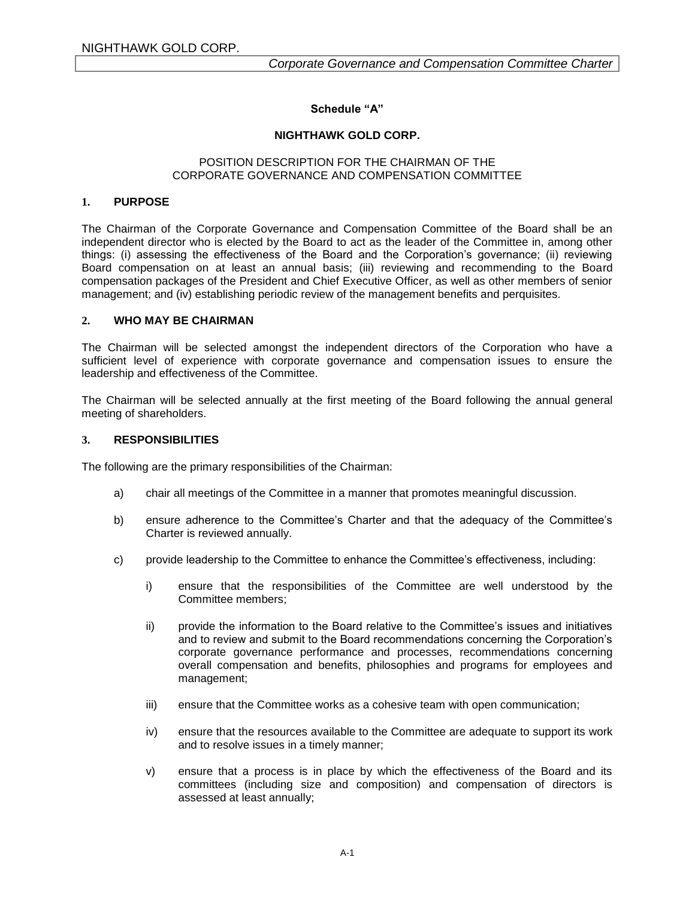## **Schedule "A"**

### **NIGHTHAWK GOLD CORP.**

### POSITION DESCRIPTION FOR THE CHAIRMAN OF THE CORPORATE GOVERNANCE AND COMPENSATION COMMITTEE

### **1. PURPOSE**

The Chairman of the Corporate Governance and Compensation Committee of the Board shall be an independent director who is elected by the Board to act as the leader of the Committee in, among other things: (i) assessing the effectiveness of the Board and the Corporation's governance; (ii) reviewing Board compensation on at least an annual basis; (iii) reviewing and recommending to the Board compensation packages of the President and Chief Executive Officer, as well as other members of senior management; and (iv) establishing periodic review of the management benefits and perquisites.

#### **2. WHO MAY BE CHAIRMAN**

The Chairman will be selected amongst the independent directors of the Corporation who have a sufficient level of experience with corporate governance and compensation issues to ensure the leadership and effectiveness of the Committee.

The Chairman will be selected annually at the first meeting of the Board following the annual general meeting of shareholders.

### **3. RESPONSIBILITIES**

The following are the primary responsibilities of the Chairman:

- a) chair all meetings of the Committee in a manner that promotes meaningful discussion.
- b) ensure adherence to the Committee's Charter and that the adequacy of the Committee's Charter is reviewed annually.
- c) provide leadership to the Committee to enhance the Committee's effectiveness, including:
	- i) ensure that the responsibilities of the Committee are well understood by the Committee members;
	- ii) provide the information to the Board relative to the Committee's issues and initiatives and to review and submit to the Board recommendations concerning the Corporation's corporate governance performance and processes, recommendations concerning overall compensation and benefits, philosophies and programs for employees and management;
	- iii) ensure that the Committee works as a cohesive team with open communication;
	- iv) ensure that the resources available to the Committee are adequate to support its work and to resolve issues in a timely manner;
	- v) ensure that a process is in place by which the effectiveness of the Board and its committees (including size and composition) and compensation of directors is assessed at least annually;